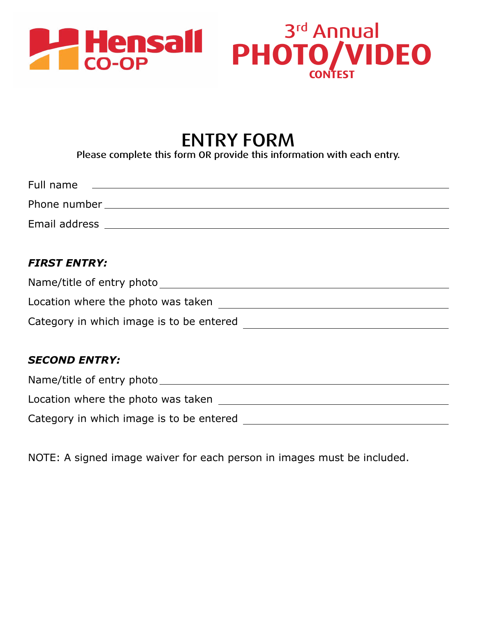

## ENTRY FORM

Please complete this form OR provide this information with each entry.

| Full name     |  |  |
|---------------|--|--|
| Phone number  |  |  |
| Email address |  |  |

#### *FIRST ENTRY:*

| Name/title of entry photo                |  |
|------------------------------------------|--|
| Location where the photo was taken       |  |
| Category in which image is to be entered |  |

#### *SECOND ENTRY:*

| Name/title of entry photo                |  |
|------------------------------------------|--|
| Location where the photo was taken       |  |
| Category in which image is to be entered |  |

NOTE: A signed image waiver for each person in images must be included.